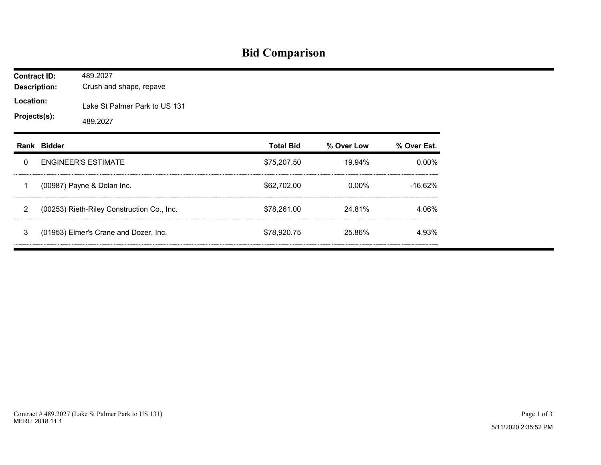## **Bid Comparison**

| <b>Contract ID:</b><br><b>Description:</b><br>Location:<br>Projects(s): |                                                                     | 489.2027<br>Crush and shape, repave<br>Lake St Palmer Park to US 131<br>489.2027 |                  |            |             |  |
|-------------------------------------------------------------------------|---------------------------------------------------------------------|----------------------------------------------------------------------------------|------------------|------------|-------------|--|
|                                                                         | Rank Bidder                                                         |                                                                                  | <b>Total Bid</b> | % Over Low | % Over Est. |  |
| $\mathbf{0}$                                                            |                                                                     | <b>ENGINEER'S ESTIMATE</b>                                                       | \$75,207.50      | 19.94%     | 0.00%       |  |
| $\mathbf 1$                                                             |                                                                     | (00987) Payne & Dolan Inc.                                                       | \$62,702.00      | $0.00\%$   | $-16.62%$   |  |
| $\overline{2}$                                                          | (00253) Rieth-Riley Construction Co., Inc.<br>\$78,261.00<br>24.81% |                                                                                  |                  |            |             |  |
| 3                                                                       |                                                                     | (01953) Elmer's Crane and Dozer, Inc.                                            | \$78,920.75      | 25.86%     | 4.93%       |  |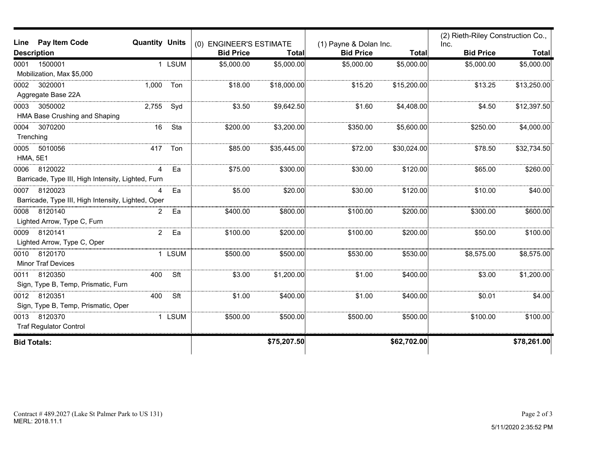| Pay Item Code<br>Line                              | <b>Quantity Units</b> |             |                                             |              |                                            |             | (2) Rieth-Riley Construction Co., |              |
|----------------------------------------------------|-----------------------|-------------|---------------------------------------------|--------------|--------------------------------------------|-------------|-----------------------------------|--------------|
| <b>Description</b>                                 |                       |             | (0) ENGINEER'S ESTIMATE<br><b>Bid Price</b> | <b>Total</b> | (1) Payne & Dolan Inc.<br><b>Bid Price</b> | Total       | Inc.<br><b>Bid Price</b>          | <b>Total</b> |
| 0001<br>1500001                                    |                       | 1 LSUM      | \$5,000.00                                  | \$5,000.00   | \$5,000.00                                 | \$5,000.00  | \$5,000.00                        | \$5,000.00]  |
| Mobilization, Max \$5,000                          |                       |             |                                             |              |                                            |             |                                   |              |
| 3020001<br>0002                                    | 1,000                 | Ton         | \$18.00                                     | \$18,000.00  | \$15.20                                    | \$15,200.00 | \$13.25                           | \$13,250.00  |
| Aggregate Base 22A                                 |                       |             |                                             |              |                                            |             |                                   |              |
| 3050002<br>0003                                    | 2,755                 | Syd         | \$3.50                                      | \$9,642.50   | \$1.60                                     | \$4,408.00  | \$4.50                            | \$12,397.50  |
| HMA Base Crushing and Shaping                      |                       |             |                                             |              |                                            |             |                                   |              |
| 0004<br>3070200                                    | 16                    | Sta         | \$200.00                                    | \$3,200.00   | \$350.00                                   | \$5,600.00  | \$250.00                          | \$4,000.00   |
| Trenching                                          |                       |             |                                             |              |                                            |             |                                   |              |
| 0005<br>5010056                                    | 417                   | Ton         | \$85.00                                     | \$35,445.00  | \$72.00                                    | \$30,024.00 | \$78.50                           | \$32,734.50  |
| <b>HMA, 5E1</b>                                    |                       |             |                                             |              |                                            |             |                                   |              |
| 8120022<br>0006                                    | 4                     | Ea          | \$75.00                                     | \$300.00     | \$30.00                                    | \$120.00    | \$65.00                           | \$260.00     |
| Barricade, Type III, High Intensity, Lighted, Furn |                       |             |                                             |              |                                            |             |                                   |              |
| 8120023<br>0007                                    | 4                     | Ea          | \$5.00                                      | \$20.00      | \$30.00                                    | \$120.00    | \$10.00                           | \$40.00      |
| Barricade, Type III, High Intensity, Lighted, Oper |                       |             |                                             |              |                                            |             |                                   |              |
| 8120140<br>0008                                    | 2                     | Ea          | \$400.00                                    | \$800.00     | \$100.00                                   | \$200.00    | \$300.00                          | \$600.00     |
| Lighted Arrow, Type C, Furn                        |                       |             |                                             |              |                                            |             |                                   |              |
| 8120141<br>0009                                    | $\overline{2}$        | Ea          | \$100.00                                    | \$200.00     | \$100.00                                   | \$200.00    | \$50.00                           | \$100.00     |
| Lighted Arrow, Type C, Oper                        |                       |             |                                             |              |                                            |             |                                   |              |
| 8120170<br>0010                                    |                       | 1 LSUM      | \$500.00                                    | \$500.00     | \$530.00                                   | \$530.00    | \$8,575.00                        | \$8,575.00   |
| <b>Minor Traf Devices</b>                          |                       |             |                                             |              |                                            |             |                                   |              |
| 8120350<br>0011                                    | 400                   | Sft         | \$3.00                                      | \$1,200.00   | \$1.00                                     | \$400.00    | \$3.00                            | \$1,200.00   |
| Sign, Type B, Temp, Prismatic, Furn                |                       |             |                                             |              |                                            |             |                                   |              |
| 8120351<br>0012                                    | 400                   | Sft         | \$1.00                                      | \$400.00     | \$1.00                                     | \$400.00    | \$0.01                            | \$4.00       |
| Sign, Type B, Temp, Prismatic, Oper                |                       |             |                                             |              |                                            |             |                                   |              |
| 8120370<br>0013                                    | $\mathbf{1}$          | <b>LSUM</b> | \$500.00                                    | \$500.00     | \$500.00                                   | \$500.00    | \$100.00                          | \$100.00     |
| <b>Traf Regulator Control</b>                      |                       |             |                                             |              |                                            |             |                                   |              |
| <b>Bid Totals:</b>                                 |                       |             |                                             | \$75,207.50  |                                            | \$62,702.00 |                                   | \$78,261.00  |